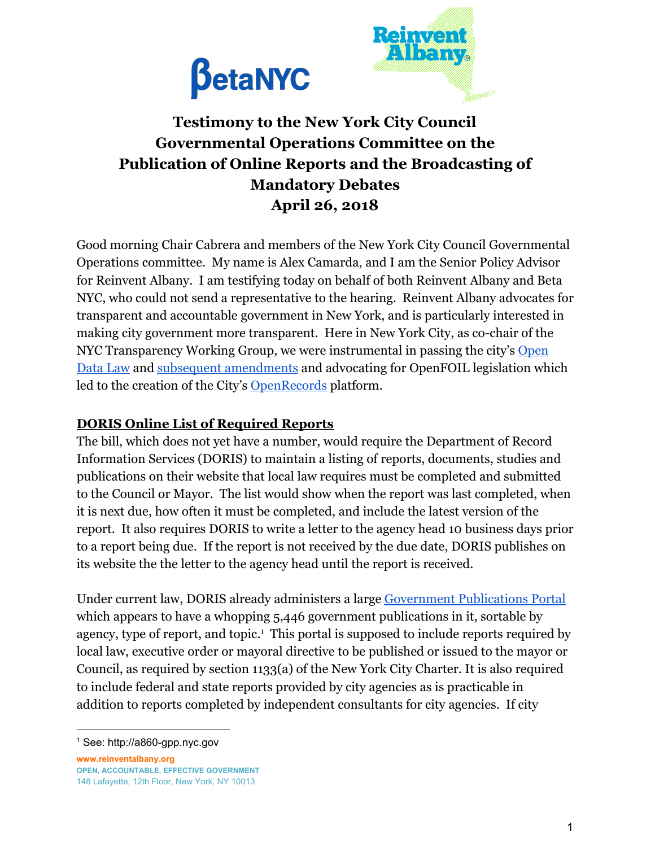



## **Testimony to the New York City Council Governmental Operations Committee on the Publication of Online Reports and the Broadcasting of Mandatory Debates April 26, 2018**

Good morning Chair Cabrera and members of the New York City Council Governmental Operations committee. My name is Alex Camarda, and I am the Senior Policy Advisor for Reinvent Albany. I am testifying today on behalf of both Reinvent Albany and Beta NYC, who could not send a representative to the hearing. Reinvent Albany advocates for transparent and accountable government in New York, and is particularly interested in making city government more transparent. Here in New York City, as co-chair of the NYC Transparency Working Group, we were instrumental in passing the city's [Open](https://opendata.cityofnewyork.us/) [Data Law](https://opendata.cityofnewyork.us/) and [subsequent amendments](https://opendata.cityofnewyork.us/open-data-law/) and advocating for OpenFOIL legislation which led to the creation of the City's [OpenRecords](https://a860-openrecords.nyc.gov/) platform.

## **DORIS Online List of Required Reports**

The bill, which does not yet have a number, would require the Department of Record Information Services (DORIS) to maintain a listing of reports, documents, studies and publications on their website that local law requires must be completed and submitted to the Council or Mayor. The list would show when the report was last completed, when it is next due, how often it must be completed, and include the latest version of the report. It also requires DORIS to write a letter to the agency head 10 business days prior to a report being due. If the report is not received by the due date, DORIS publishes on its website the the letter to the agency head until the report is received.

Under current law, DORIS already administers a large [Government Publications Portal](http://a860-gpp.nyc.gov/) which appears to have a whopping 5,446 government publications in it, sortable by agency, type of report, and topic. $<sup>1</sup>$  This portal is supposed to include reports required by</sup> local law, executive order or mayoral directive to be published or issued to the mayor or Council, as required by section 1133(a) of the New York City Charter. It is also required to include federal and state reports provided by city agencies as is practicable in addition to reports completed by independent consultants for city agencies. If city

**www.reinventalbany.org OPEN, ACCOUNTABLE, EFFECTIVE GOVERNMENT** 148 Lafayette, 12th Floor, New York, NY 10013

<sup>1</sup> See: http://a860-gpp.nyc.gov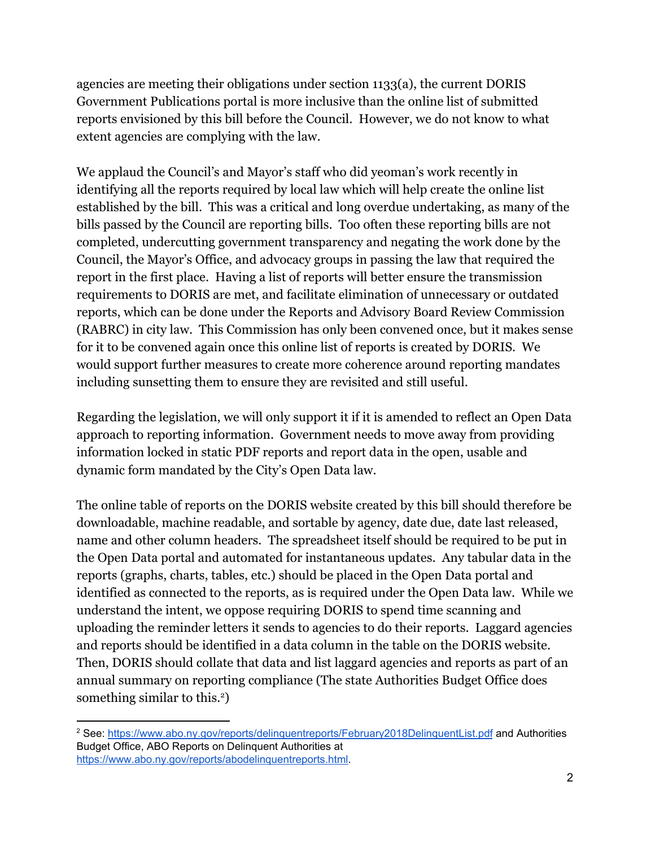agencies are meeting their obligations under section 1133(a), the current DORIS Government Publications portal is more inclusive than the online list of submitted reports envisioned by this bill before the Council. However, we do not know to what extent agencies are complying with the law.

We applaud the Council's and Mayor's staff who did yeoman's work recently in identifying all the reports required by local law which will help create the online list established by the bill. This was a critical and long overdue undertaking, as many of the bills passed by the Council are reporting bills. Too often these reporting bills are not completed, undercutting government transparency and negating the work done by the Council, the Mayor's Office, and advocacy groups in passing the law that required the report in the first place. Having a list of reports will better ensure the transmission requirements to DORIS are met, and facilitate elimination of unnecessary or outdated reports, which can be done under the Reports and Advisory Board Review Commission (RABRC) in city law. This Commission has only been convened once, but it makes sense for it to be convened again once this online list of reports is created by DORIS. We would support further measures to create more coherence around reporting mandates including sunsetting them to ensure they are revisited and still useful.

Regarding the legislation, we will only support it if it is amended to reflect an Open Data approach to reporting information. Government needs to move away from providing information locked in static PDF reports and report data in the open, usable and dynamic form mandated by the City's Open Data law.

The online table of reports on the DORIS website created by this bill should therefore be downloadable, machine readable, and sortable by agency, date due, date last released, name and other column headers. The spreadsheet itself should be required to be put in the Open Data portal and automated for instantaneous updates. Any tabular data in the reports (graphs, charts, tables, etc.) should be placed in the Open Data portal and identified as connected to the reports, as is required under the Open Data law. While we understand the intent, we oppose requiring DORIS to spend time scanning and uploading the reminder letters it sends to agencies to do their reports. Laggard agencies and reports should be identified in a data column in the table on the DORIS website. Then, DORIS should collate that data and list laggard agencies and reports as part of an annual summary on reporting compliance (The state Authorities Budget Office does something similar to this.<sup>2</sup>)

<sup>&</sup>lt;sup>2</sup> See: <https://www.abo.ny.gov/reports/delinquentreports/February2018DelinquentList.pdf> and Authorities Budget Office, ABO Reports on Delinquent Authorities at [https://www.abo.ny.gov/reports/abodelinquentreports.html.](https://www.abo.ny.gov/reports/abodelinquentreports.html)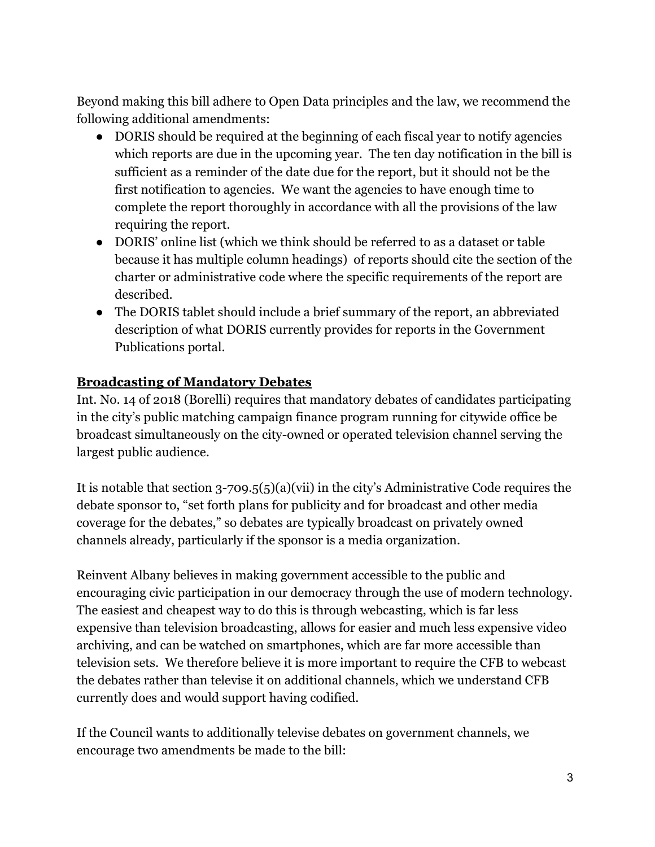Beyond making this bill adhere to Open Data principles and the law, we recommend the following additional amendments:

- DORIS should be required at the beginning of each fiscal year to notify agencies which reports are due in the upcoming year. The ten day notification in the bill is sufficient as a reminder of the date due for the report, but it should not be the first notification to agencies. We want the agencies to have enough time to complete the report thoroughly in accordance with all the provisions of the law requiring the report.
- DORIS' online list (which we think should be referred to as a dataset or table because it has multiple column headings) of reports should cite the section of the charter or administrative code where the specific requirements of the report are described.
- The DORIS tablet should include a brief summary of the report, an abbreviated description of what DORIS currently provides for reports in the Government Publications portal.

## **Broadcasting of Mandatory Debates**

Int. No. 14 of 2018 (Borelli) requires that mandatory debates of candidates participating in the city's public matching campaign finance program running for citywide office be broadcast simultaneously on the city-owned or operated television channel serving the largest public audience.

It is notable that section 3-709.5(5)(a)(vii) in the city's Administrative Code requires the debate sponsor to, "set forth plans for publicity and for broadcast and other media coverage for the debates," so debates are typically broadcast on privately owned channels already, particularly if the sponsor is a media organization.

Reinvent Albany believes in making government accessible to the public and encouraging civic participation in our democracy through the use of modern technology. The easiest and cheapest way to do this is through webcasting, which is far less expensive than television broadcasting, allows for easier and much less expensive video archiving, and can be watched on smartphones, which are far more accessible than television sets. We therefore believe it is more important to require the CFB to webcast the debates rather than televise it on additional channels, which we understand CFB currently does and would support having codified.

If the Council wants to additionally televise debates on government channels, we encourage two amendments be made to the bill: